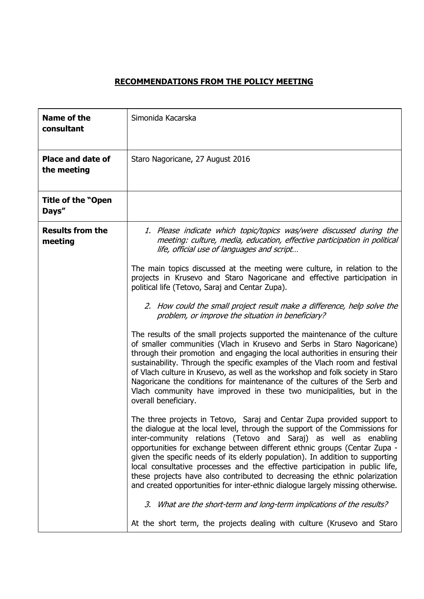## **RECOMMENDATIONS FROM THE POLICY MEETING**

| <b>Name of the</b><br>consultant        | Simonida Kacarska                                                                                                                                                                                                                                                                                                                                                                                                                                                                                                                                                                                                                         |
|-----------------------------------------|-------------------------------------------------------------------------------------------------------------------------------------------------------------------------------------------------------------------------------------------------------------------------------------------------------------------------------------------------------------------------------------------------------------------------------------------------------------------------------------------------------------------------------------------------------------------------------------------------------------------------------------------|
| <b>Place and date of</b><br>the meeting | Staro Nagoricane, 27 August 2016                                                                                                                                                                                                                                                                                                                                                                                                                                                                                                                                                                                                          |
| <b>Title of the "Open</b><br>Days"      |                                                                                                                                                                                                                                                                                                                                                                                                                                                                                                                                                                                                                                           |
| <b>Results from the</b><br>meeting      | 1. Please indicate which topic/topics was/were discussed during the<br>meeting: culture, media, education, effective participation in political<br>life, official use of languages and script                                                                                                                                                                                                                                                                                                                                                                                                                                             |
|                                         | The main topics discussed at the meeting were culture, in relation to the<br>projects in Krusevo and Staro Nagoricane and effective participation in<br>political life (Tetovo, Saraj and Centar Zupa).                                                                                                                                                                                                                                                                                                                                                                                                                                   |
|                                         | 2. How could the small project result make a difference, help solve the<br>problem, or improve the situation in beneficiary?                                                                                                                                                                                                                                                                                                                                                                                                                                                                                                              |
|                                         | The results of the small projects supported the maintenance of the culture<br>of smaller communities (Vlach in Krusevo and Serbs in Staro Nagoricane)<br>through their promotion and engaging the local authorities in ensuring their<br>sustainability. Through the specific examples of the Vlach room and festival<br>of Vlach culture in Krusevo, as well as the workshop and folk society in Staro<br>Nagoricane the conditions for maintenance of the cultures of the Serb and<br>Vlach community have improved in these two municipalities, but in the<br>overall beneficiary.                                                     |
|                                         | The three projects in Tetovo, Saraj and Centar Zupa provided support to<br>the dialogue at the local level, through the support of the Commissions for<br>inter-community relations (Tetovo and Saraj) as well as enabling<br>opportunities for exchange between different ethnic groups (Centar Zupa -<br>given the specific needs of its elderly population). In addition to supporting<br>local consultative processes and the effective participation in public life,<br>these projects have also contributed to decreasing the ethnic polarization<br>and created opportunities for inter-ethnic dialogue largely missing otherwise. |
|                                         | 3. What are the short-term and long-term implications of the results?                                                                                                                                                                                                                                                                                                                                                                                                                                                                                                                                                                     |
|                                         | At the short term, the projects dealing with culture (Krusevo and Staro                                                                                                                                                                                                                                                                                                                                                                                                                                                                                                                                                                   |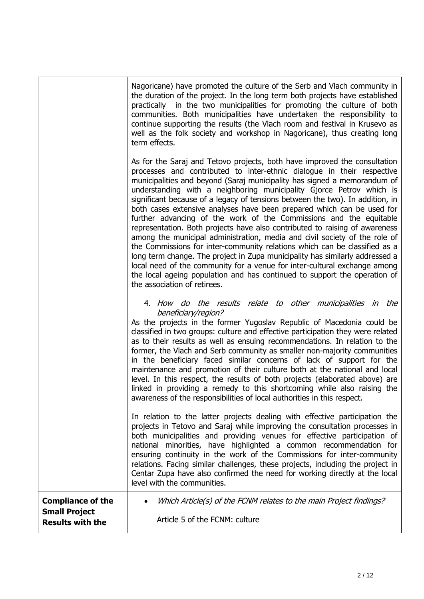|                                                                             | Nagoricane) have promoted the culture of the Serb and Vlach community in<br>the duration of the project. In the long term both projects have established<br>practically in the two municipalities for promoting the culture of both<br>communities. Both municipalities have undertaken the responsibility to<br>continue supporting the results (the Vlach room and festival in Krusevo as<br>well as the folk society and workshop in Nagoricane), thus creating long<br>term effects.                                                                                                                                                                                                                                                                                                                                                                                                                                                                                                                                                                      |
|-----------------------------------------------------------------------------|---------------------------------------------------------------------------------------------------------------------------------------------------------------------------------------------------------------------------------------------------------------------------------------------------------------------------------------------------------------------------------------------------------------------------------------------------------------------------------------------------------------------------------------------------------------------------------------------------------------------------------------------------------------------------------------------------------------------------------------------------------------------------------------------------------------------------------------------------------------------------------------------------------------------------------------------------------------------------------------------------------------------------------------------------------------|
|                                                                             | As for the Saraj and Tetovo projects, both have improved the consultation<br>processes and contributed to inter-ethnic dialogue in their respective<br>municipalities and beyond (Saraj municipality has signed a memorandum of<br>understanding with a neighboring municipality Gjorce Petrov which is<br>significant because of a legacy of tensions between the two). In addition, in<br>both cases extensive analyses have been prepared which can be used for<br>further advancing of the work of the Commissions and the equitable<br>representation. Both projects have also contributed to raising of awareness<br>among the municipal administration, media and civil society of the role of<br>the Commissions for inter-community relations which can be classified as a<br>long term change. The project in Zupa municipality has similarly addressed a<br>local need of the community for a venue for inter-cultural exchange among<br>the local ageing population and has continued to support the operation of<br>the association of retirees. |
|                                                                             | 4. How do the results relate to other municipalities in the<br>beneficiary/region?<br>As the projects in the former Yugoslav Republic of Macedonia could be<br>classified in two groups: culture and effective participation they were related<br>as to their results as well as ensuing recommendations. In relation to the<br>former, the Vlach and Serb community as smaller non-majority communities<br>in the beneficiary faced similar concerns of lack of support for the<br>maintenance and promotion of their culture both at the national and local<br>level. In this respect, the results of both projects (elaborated above) are<br>linked in providing a remedy to this shortcoming while also raising the<br>awareness of the responsibilities of local authorities in this respect.                                                                                                                                                                                                                                                            |
|                                                                             | In relation to the latter projects dealing with effective participation the<br>projects in Tetovo and Saraj while improving the consultation processes in<br>both municipalities and providing venues for effective participation of<br>national minorities, have highlighted a common recommendation for<br>ensuring continuity in the work of the Commissions for inter-community<br>relations. Facing similar challenges, these projects, including the project in<br>Centar Zupa have also confirmed the need for working directly at the local<br>level with the communities.                                                                                                                                                                                                                                                                                                                                                                                                                                                                            |
| <b>Compliance of the</b><br><b>Small Project</b><br><b>Results with the</b> | Which Article(s) of the FCNM relates to the main Project findings?<br>Article 5 of the FCNM: culture                                                                                                                                                                                                                                                                                                                                                                                                                                                                                                                                                                                                                                                                                                                                                                                                                                                                                                                                                          |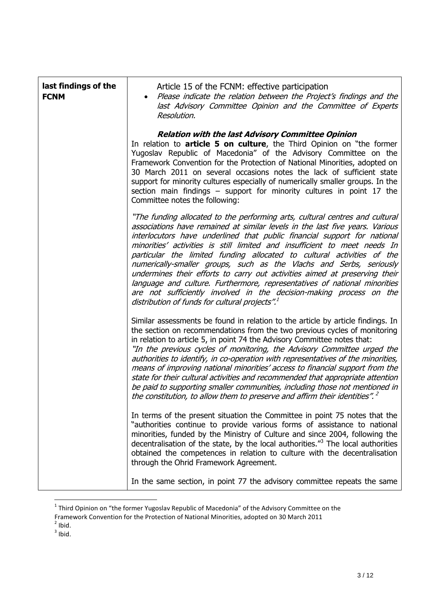| last findings of the<br><b>FCNM</b> | Article 15 of the FCNM: effective participation<br>Please indicate the relation between the Project's findings and the<br>last Advisory Committee Opinion and the Committee of Experts<br>Resolution.                                                                                                                                                                                                                                                                                                                                                                                                                                                                                                                                                     |
|-------------------------------------|-----------------------------------------------------------------------------------------------------------------------------------------------------------------------------------------------------------------------------------------------------------------------------------------------------------------------------------------------------------------------------------------------------------------------------------------------------------------------------------------------------------------------------------------------------------------------------------------------------------------------------------------------------------------------------------------------------------------------------------------------------------|
|                                     | <b>Relation with the last Advisory Committee Opinion</b><br>In relation to article 5 on culture, the Third Opinion on "the former<br>Yugoslav Republic of Macedonia" of the Advisory Committee on the<br>Framework Convention for the Protection of National Minorities, adopted on<br>30 March 2011 on several occasions notes the lack of sufficient state<br>support for minority cultures especially of numerically smaller groups. In the<br>section main findings $-$ support for minority cultures in point 17 the<br>Committee notes the following:                                                                                                                                                                                               |
|                                     | "The funding allocated to the performing arts, cultural centres and cultural<br>associations have remained at similar levels in the last five years. Various<br>interlocutors have underlined that public financial support for national<br>minorities' activities is still limited and insufficient to meet needs In<br>particular the limited funding allocated to cultural activities of the<br>numerically-smaller groups, such as the Vlachs and Serbs, seriously<br>undermines their efforts to carry out activities aimed at preserving their<br>language and culture. Furthermore, representatives of national minorities<br>are not sufficiently involved in the decision-making process on the<br>distribution of funds for cultural projects". |
|                                     | Similar assessments be found in relation to the article by article findings. In<br>the section on recommendations from the two previous cycles of monitoring<br>in relation to article 5, in point 74 the Advisory Committee notes that:<br>"In the previous cycles of monitoring, the Advisory Committee urged the<br>authorities to identify, in co-operation with representatives of the minorities,<br>means of improving national minorities' access to financial support from the<br>state for their cultural activities and recommended that appropriate attention<br>be paid to supporting smaller communities, including those not mentioned in<br>the constitution, to allow them to preserve and affirm their identities". <sup>2</sup>        |
|                                     | In terms of the present situation the Committee in point 75 notes that the<br>"authorities continue to provide various forms of assistance to national<br>minorities, funded by the Ministry of Culture and since 2004, following the<br>decentralisation of the state, by the local authorities." <sup>3</sup> The local authorities<br>obtained the competences in relation to culture with the decentralisation<br>through the Ohrid Framework Agreement.                                                                                                                                                                                                                                                                                              |
|                                     | In the same section, in point 77 the advisory committee repeats the same                                                                                                                                                                                                                                                                                                                                                                                                                                                                                                                                                                                                                                                                                  |

 1 Third Opinion on "the former Yugoslav Republic of Macedonia" of the Advisory Committee on the

Framework Convention for the Protection of National Minorities, adopted on 30 March 2011<br><sup>2</sup> Ibid.<br><sup>3</sup> Ibid.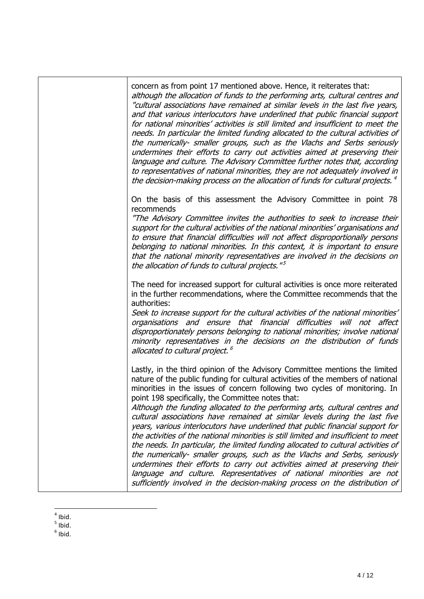| concern as from point 17 mentioned above. Hence, it reiterates that:<br>although the allocation of funds to the performing arts, cultural centres and<br>"cultural associations have remained at similar levels in the last five years,<br>and that various interlocutors have underlined that public financial support<br>for national minorities' activities is still limited and insufficient to meet the<br>needs. In particular the limited funding allocated to the cultural activities of<br>the numerically- smaller groups, such as the Vlachs and Serbs seriously<br>undermines their efforts to carry out activities aimed at preserving their<br>language and culture. The Advisory Committee further notes that, according<br>to representatives of national minorities, they are not adequately involved in<br>the decision-making process on the allocation of funds for cultural projects. $4$                                                                                                                                |
|-----------------------------------------------------------------------------------------------------------------------------------------------------------------------------------------------------------------------------------------------------------------------------------------------------------------------------------------------------------------------------------------------------------------------------------------------------------------------------------------------------------------------------------------------------------------------------------------------------------------------------------------------------------------------------------------------------------------------------------------------------------------------------------------------------------------------------------------------------------------------------------------------------------------------------------------------------------------------------------------------------------------------------------------------|
| On the basis of this assessment the Advisory Committee in point 78<br>recommends<br>"The Advisory Committee invites the authorities to seek to increase their<br>support for the cultural activities of the national minorities' organisations and<br>to ensure that financial difficulties will not affect disproportionally persons<br>belonging to national minorities. In this context, it is important to ensure<br>that the national minority representatives are involved in the decisions on<br>the allocation of funds to cultural projects." <sup>5</sup>                                                                                                                                                                                                                                                                                                                                                                                                                                                                           |
| The need for increased support for cultural activities is once more reiterated<br>in the further recommendations, where the Committee recommends that the<br>authorities:<br>Seek to increase support for the cultural activities of the national minorities'<br>organisations and ensure that financial difficulties will not affect<br>disproportionately persons belonging to national minorities; involve national<br>minority representatives in the decisions on the distribution of funds<br>allocated to cultural project. <sup>6</sup>                                                                                                                                                                                                                                                                                                                                                                                                                                                                                               |
| Lastly, in the third opinion of the Advisory Committee mentions the limited<br>nature of the public funding for cultural activities of the members of national<br>minorities in the issues of concern following two cycles of monitoring. In<br>point 198 specifically, the Committee notes that:<br>Although the funding allocated to the performing arts, cultural centres and<br>cultural associations have remained at similar levels during the last five<br>years, various interlocutors have underlined that public financial support for<br>the activities of the national minorities is still limited and insufficient to meet<br>the needs. In particular, the limited funding allocated to cultural activities of<br>the numerically- smaller groups, such as the Vlachs and Serbs, seriously<br>undermines their efforts to carry out activities aimed at preserving their<br>language and culture. Representatives of national minorities are not<br>sufficiently involved in the decision-making process on the distribution of |

 $\frac{4}{5}$  Ibid.<br> $\frac{5}{6}$  Ibid.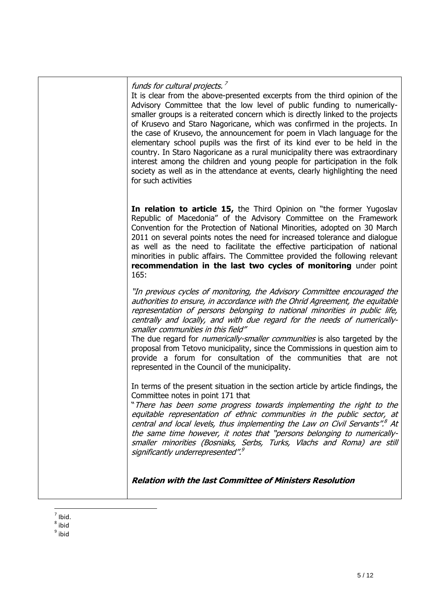| Advisory Committee that the low level of public funding to numerically-<br>smaller groups is a reiterated concern which is directly linked to the projects<br>of Krusevo and Staro Nagoricane, which was confirmed in the projects. In<br>the case of Krusevo, the announcement for poem in Vlach language for the<br>elementary school pupils was the first of its kind ever to be held in the<br>country. In Staro Nagoricane as a rural municipality there was extraordinary<br>interest among the children and young people for participation in the folk<br>society as well as in the attendance at events, clearly highlighting the need<br>for such activities<br>In relation to article 15, the Third Opinion on "the former Yugoslav<br>Republic of Macedonia" of the Advisory Committee on the Framework<br>Convention for the Protection of National Minorities, adopted on 30 March<br>2011 on several points notes the need for increased tolerance and dialogue<br>as well as the need to facilitate the effective participation of national<br>minorities in public affairs. The Committee provided the following relevant<br>recommendation in the last two cycles of monitoring under point<br>165:<br>"In previous cycles of monitoring, the Advisory Committee encouraged the<br>authorities to ensure, in accordance with the Ohrid Agreement, the equitable<br>representation of persons belonging to national minorities in public life,<br>centrally and locally, and with due regard for the needs of numerically-<br>smaller communities in this field"<br>The due regard for <i>numerically-smaller communities</i> is also targeted by the<br>proposal from Tetovo municipality, since the Commissions in question aim to<br>provide a forum for consultation of the communities that are not<br>represented in the Council of the municipality.<br>In terms of the present situation in the section article by article findings, the<br>Committee notes in point 171 that<br>"There has been some progress towards implementing the right to the<br>equitable representation of ethnic communities in the public sector, at<br>central and local levels, thus implementing the Law on Civil Servants". <sup>8</sup> At<br>the same time however, it notes that "persons belonging to numerically-<br>smaller minorities (Bosniaks, Serbs, Turks, Vlachs and Roma) are still<br>significantly underrepresented". <sup>9</sup> |                                                                             |
|----------------------------------------------------------------------------------------------------------------------------------------------------------------------------------------------------------------------------------------------------------------------------------------------------------------------------------------------------------------------------------------------------------------------------------------------------------------------------------------------------------------------------------------------------------------------------------------------------------------------------------------------------------------------------------------------------------------------------------------------------------------------------------------------------------------------------------------------------------------------------------------------------------------------------------------------------------------------------------------------------------------------------------------------------------------------------------------------------------------------------------------------------------------------------------------------------------------------------------------------------------------------------------------------------------------------------------------------------------------------------------------------------------------------------------------------------------------------------------------------------------------------------------------------------------------------------------------------------------------------------------------------------------------------------------------------------------------------------------------------------------------------------------------------------------------------------------------------------------------------------------------------------------------------------------------------------------------------------------------------------------------------------------------------------------------------------------------------------------------------------------------------------------------------------------------------------------------------------------------------------------------------------------------------------------------------------------------------------------------------------------------------------------------------------------------------------------|-----------------------------------------------------------------------------|
|                                                                                                                                                                                                                                                                                                                                                                                                                                                                                                                                                                                                                                                                                                                                                                                                                                                                                                                                                                                                                                                                                                                                                                                                                                                                                                                                                                                                                                                                                                                                                                                                                                                                                                                                                                                                                                                                                                                                                                                                                                                                                                                                                                                                                                                                                                                                                                                                                                                          |                                                                             |
|                                                                                                                                                                                                                                                                                                                                                                                                                                                                                                                                                                                                                                                                                                                                                                                                                                                                                                                                                                                                                                                                                                                                                                                                                                                                                                                                                                                                                                                                                                                                                                                                                                                                                                                                                                                                                                                                                                                                                                                                                                                                                                                                                                                                                                                                                                                                                                                                                                                          |                                                                             |
|                                                                                                                                                                                                                                                                                                                                                                                                                                                                                                                                                                                                                                                                                                                                                                                                                                                                                                                                                                                                                                                                                                                                                                                                                                                                                                                                                                                                                                                                                                                                                                                                                                                                                                                                                                                                                                                                                                                                                                                                                                                                                                                                                                                                                                                                                                                                                                                                                                                          |                                                                             |
| funds for cultural projects. <sup>7</sup>                                                                                                                                                                                                                                                                                                                                                                                                                                                                                                                                                                                                                                                                                                                                                                                                                                                                                                                                                                                                                                                                                                                                                                                                                                                                                                                                                                                                                                                                                                                                                                                                                                                                                                                                                                                                                                                                                                                                                                                                                                                                                                                                                                                                                                                                                                                                                                                                                | It is clear from the above-presented excerpts from the third opinion of the |

<sup>&</sup>lt;sup>7</sup> Ibid.<br><sup>8</sup> ibid<br><sup>9</sup> ibid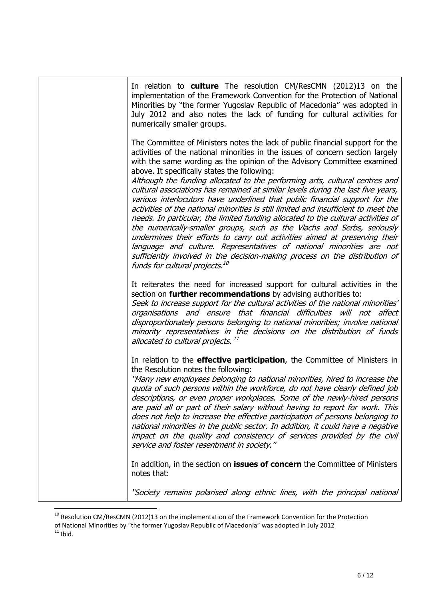| In relation to <b>culture</b> The resolution CM/ResCMN (2012)13 on the<br>implementation of the Framework Convention for the Protection of National<br>Minorities by "the former Yugoslav Republic of Macedonia" was adopted in<br>July 2012 and also notes the lack of funding for cultural activities for<br>numerically smaller groups.                                                                                                                                                                                                                                                                                                                                                                                                                                                                                                                                                                                                                                                                                                                                             |
|----------------------------------------------------------------------------------------------------------------------------------------------------------------------------------------------------------------------------------------------------------------------------------------------------------------------------------------------------------------------------------------------------------------------------------------------------------------------------------------------------------------------------------------------------------------------------------------------------------------------------------------------------------------------------------------------------------------------------------------------------------------------------------------------------------------------------------------------------------------------------------------------------------------------------------------------------------------------------------------------------------------------------------------------------------------------------------------|
| The Committee of Ministers notes the lack of public financial support for the<br>activities of the national minorities in the issues of concern section largely<br>with the same wording as the opinion of the Advisory Committee examined<br>above. It specifically states the following:<br>Although the funding allocated to the performing arts, cultural centres and<br>cultural associations has remained at similar levels during the last five years,<br>various interlocutors have underlined that public financial support for the<br>activities of the national minorities is still limited and insufficient to meet the<br>needs. In particular, the limited funding allocated to the cultural activities of<br>the numerically-smaller groups, such as the Vlachs and Serbs, seriously<br>undermines their efforts to carry out activities aimed at preserving their<br>language and culture. Representatives of national minorities are not<br>sufficiently involved in the decision-making process on the distribution of<br>funds for cultural projects. <sup>10</sup> |
| It reiterates the need for increased support for cultural activities in the<br>section on <b>further recommendations</b> by advising authorities to:<br>Seek to increase support for the cultural activities of the national minorities'<br>organisations and ensure that financial difficulties will not affect<br>disproportionately persons belonging to national minorities; involve national<br>minority representatives in the decisions on the distribution of funds<br>allocated to cultural projects. <sup>11</sup>                                                                                                                                                                                                                                                                                                                                                                                                                                                                                                                                                           |
| In relation to the <b>effective participation</b> , the Committee of Ministers in<br>the Resolution notes the following:<br>"Many new employees belonging to national minorities, hired to increase the<br>quota of such persons within the workforce, do not have clearly defined job<br>descriptions, or even proper workplaces. Some of the newly-hired persons<br>are paid all or part of their salary without having to report for work. This<br>does not help to increase the effective participation of persons belonging to<br>national minorities in the public sector. In addition, it could have a negative<br>impact on the quality and consistency of services provided by the civil<br>service and foster resentment in society."                                                                                                                                                                                                                                                                                                                                        |
| In addition, in the section on <b>issues of concern</b> the Committee of Ministers<br>notes that:                                                                                                                                                                                                                                                                                                                                                                                                                                                                                                                                                                                                                                                                                                                                                                                                                                                                                                                                                                                      |
| "Society remains polarised along ethnic lines, with the principal national                                                                                                                                                                                                                                                                                                                                                                                                                                                                                                                                                                                                                                                                                                                                                                                                                                                                                                                                                                                                             |

 $^{10}$  Resolution CM/ResCMN (2012)13 on the implementation of the Framework Convention for the Protection

 $\overline{a}$ 

of National Minorities by "the former Yugoslav Republic of Macedonia" was adopted in July 2012

 $11$  Ibid.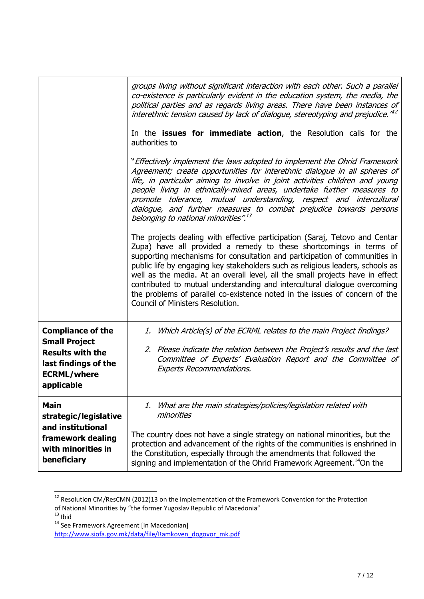|                                                                                                                                         | groups living without significant interaction with each other. Such a parallel<br>co-existence is particularly evident in the education system, the media, the<br>political parties and as regards living areas. There have been instances of<br>interethnic tension caused by lack of dialogue, stereotyping and prejudice." <sup>12</sup>                                                                                                                                                                                                                                                        |
|-----------------------------------------------------------------------------------------------------------------------------------------|----------------------------------------------------------------------------------------------------------------------------------------------------------------------------------------------------------------------------------------------------------------------------------------------------------------------------------------------------------------------------------------------------------------------------------------------------------------------------------------------------------------------------------------------------------------------------------------------------|
|                                                                                                                                         | In the <b>issues for immediate action</b> , the Resolution calls for the<br>authorities to                                                                                                                                                                                                                                                                                                                                                                                                                                                                                                         |
|                                                                                                                                         | "Effectively implement the laws adopted to implement the Ohrid Framework<br>Agreement; create opportunities for interethnic dialogue in all spheres of<br>life, in particular aiming to involve in joint activities children and young<br>people living in ethnically-mixed areas, undertake further measures to<br>promote tolerance, mutual understanding, respect and intercultural<br>dialogue, and further measures to combat prejudice towards persons<br>belonging to national minorities". <sup>13</sup>                                                                                   |
|                                                                                                                                         | The projects dealing with effective participation (Saraj, Tetovo and Centar<br>Zupa) have all provided a remedy to these shortcomings in terms of<br>supporting mechanisms for consultation and participation of communities in<br>public life by engaging key stakeholders such as religious leaders, schools as<br>well as the media. At an overall level, all the small projects have in effect<br>contributed to mutual understanding and intercultural dialogue overcoming<br>the problems of parallel co-existence noted in the issues of concern of the<br>Council of Ministers Resolution. |
| <b>Compliance of the</b><br><b>Small Project</b><br><b>Results with the</b><br>last findings of the<br><b>ECRML/where</b><br>applicable | 1. Which Article(s) of the ECRML relates to the main Project findings?<br>2. Please indicate the relation between the Project's results and the last<br>Committee of Experts' Evaluation Report and the Committee of<br><b>Experts Recommendations.</b>                                                                                                                                                                                                                                                                                                                                            |
| <b>Main</b><br>strategic/legislative<br>and institutional<br>framework dealing<br>with minorities in                                    | What are the main strategies/policies/legislation related with<br>1.<br>minorities<br>The country does not have a single strategy on national minorities, but the<br>protection and advancement of the rights of the communities is enshrined in<br>the Constitution, especially through the amendments that followed the                                                                                                                                                                                                                                                                          |
| beneficiary                                                                                                                             | signing and implementation of the Ohrid Framework Agreement. <sup>14</sup> On the                                                                                                                                                                                                                                                                                                                                                                                                                                                                                                                  |

 $^{12}$  Resolution CM/ResCMN (2012)13 on the implementation of the Framework Convention for the Protection

of National Minorities by "the former Yugoslav Republic of Macedonia"

 $\overline{\phantom{a}}$ 

 $13$  Ibid

<sup>&</sup>lt;sup>14</sup> See Framework Agreement [in Macedonian]

[http://www.siofa.gov.mk/data/file/Ramkoven\\_dogovor\\_mk.pdf](http://www.siofa.gov.mk/data/file/Ramkoven_dogovor_mk.pdf)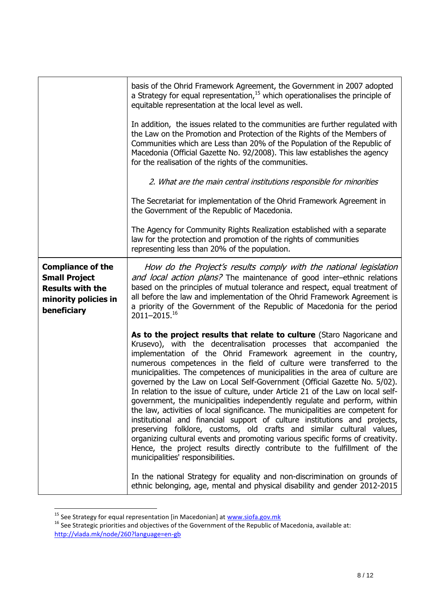|                                                                                                                    | basis of the Ohrid Framework Agreement, the Government in 2007 adopted<br>a Strategy for equal representation, $15$ which operationalises the principle of<br>equitable representation at the local level as well.<br>In addition, the issues related to the communities are further regulated with<br>the Law on the Promotion and Protection of the Rights of the Members of<br>Communities which are Less than 20% of the Population of the Republic of<br>Macedonia (Official Gazette No. 92/2008). This law establishes the agency<br>for the realisation of the rights of the communities.<br>2. What are the main central institutions responsible for minorities<br>The Secretariat for implementation of the Ohrid Framework Agreement in<br>the Government of the Republic of Macedonia.<br>The Agency for Community Rights Realization established with a separate                                                                                                                                                                                                                                                                                                                                                |
|--------------------------------------------------------------------------------------------------------------------|------------------------------------------------------------------------------------------------------------------------------------------------------------------------------------------------------------------------------------------------------------------------------------------------------------------------------------------------------------------------------------------------------------------------------------------------------------------------------------------------------------------------------------------------------------------------------------------------------------------------------------------------------------------------------------------------------------------------------------------------------------------------------------------------------------------------------------------------------------------------------------------------------------------------------------------------------------------------------------------------------------------------------------------------------------------------------------------------------------------------------------------------------------------------------------------------------------------------------|
|                                                                                                                    | law for the protection and promotion of the rights of communities<br>representing less than 20% of the population.                                                                                                                                                                                                                                                                                                                                                                                                                                                                                                                                                                                                                                                                                                                                                                                                                                                                                                                                                                                                                                                                                                           |
| <b>Compliance of the</b><br><b>Small Project</b><br><b>Results with the</b><br>minority policies in<br>beneficiary | How do the Project's results comply with the national legislation<br>and local action plans? The maintenance of good inter-ethnic relations<br>based on the principles of mutual tolerance and respect, equal treatment of<br>all before the law and implementation of the Ohrid Framework Agreement is<br>a priority of the Government of the Republic of Macedonia for the period<br>2011-2015.16                                                                                                                                                                                                                                                                                                                                                                                                                                                                                                                                                                                                                                                                                                                                                                                                                          |
|                                                                                                                    | As to the project results that relate to culture (Staro Nagoricane and<br>Krusevo), with the decentralisation processes that accompanied the<br>implementation of the Ohrid Framework agreement in the country,<br>numerous competences in the field of culture were transferred to the<br>municipalities. The competences of municipalities in the area of culture are<br>governed by the Law on Local Self-Government (Official Gazette No. 5/02).<br>In relation to the issue of culture, under Article 21 of the Law on local self-<br>government, the municipalities independently regulate and perform, within<br>the law, activities of local significance. The municipalities are competent for<br>institutional and financial support of culture institutions and projects,<br>preserving folklore, customs, old crafts and similar cultural values,<br>organizing cultural events and promoting various specific forms of creativity.<br>Hence, the project results directly contribute to the fulfillment of the<br>municipalities' responsibilities.<br>In the national Strategy for equality and non-discrimination on grounds of<br>ethnic belonging, age, mental and physical disability and gender 2012-2015 |

<sup>&</sup>lt;sup>15</sup> See Strategy for equal representation [in Macedonian] at [www.siofa.gov.mk](http://www.siofa.gov.mk/)

 $\overline{a}$ 

 $^{16}$  See Strategic priorities and objectives of the Government of the Republic of Macedonia, available at: <http://vlada.mk/node/260?language=en-gb>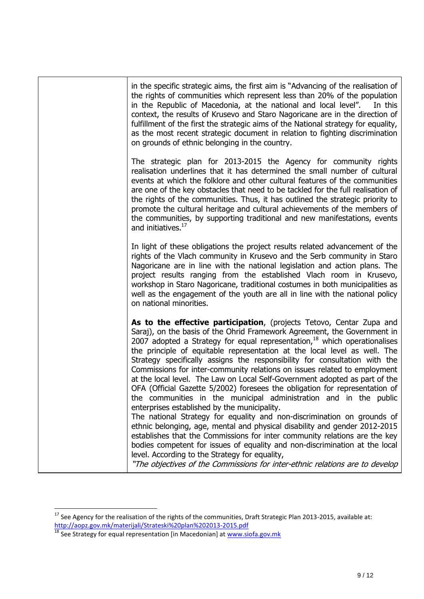| in the specific strategic aims, the first aim is "Advancing of the realisation of<br>the rights of communities which represent less than 20% of the population<br>in the Republic of Macedonia, at the national and local level".<br>In this<br>context, the results of Krusevo and Staro Nagoricane are in the direction of<br>fulfillment of the first the strategic aims of the National strategy for equality,<br>as the most recent strategic document in relation to fighting discrimination<br>on grounds of ethnic belonging in the country.                                                                                                                                                                                                                                                                                                                                                                                                                                                                                                                                                                                                                                                                |
|---------------------------------------------------------------------------------------------------------------------------------------------------------------------------------------------------------------------------------------------------------------------------------------------------------------------------------------------------------------------------------------------------------------------------------------------------------------------------------------------------------------------------------------------------------------------------------------------------------------------------------------------------------------------------------------------------------------------------------------------------------------------------------------------------------------------------------------------------------------------------------------------------------------------------------------------------------------------------------------------------------------------------------------------------------------------------------------------------------------------------------------------------------------------------------------------------------------------|
| The strategic plan for 2013-2015 the Agency for community rights<br>realisation underlines that it has determined the small number of cultural<br>events at which the folklore and other cultural features of the communities<br>are one of the key obstacles that need to be tackled for the full realisation of<br>the rights of the communities. Thus, it has outlined the strategic priority to<br>promote the cultural heritage and cultural achievements of the members of<br>the communities, by supporting traditional and new manifestations, events<br>and initiatives. <sup>17</sup>                                                                                                                                                                                                                                                                                                                                                                                                                                                                                                                                                                                                                     |
| In light of these obligations the project results related advancement of the<br>rights of the Vlach community in Krusevo and the Serb community in Staro<br>Nagoricane are in line with the national legislation and action plans. The<br>project results ranging from the established Vlach room in Krusevo,<br>workshop in Staro Nagoricane, traditional costumes in both municipalities as<br>well as the engagement of the youth are all in line with the national policy<br>on national minorities.                                                                                                                                                                                                                                                                                                                                                                                                                                                                                                                                                                                                                                                                                                            |
| As to the effective participation, (projects Tetovo, Centar Zupa and<br>Saraj), on the basis of the Ohrid Framework Agreement, the Government in<br>2007 adopted a Strategy for equal representation, $18$ which operationalises<br>the principle of equitable representation at the local level as well. The<br>Strategy specifically assigns the responsibility for consultation with the<br>Commissions for inter-community relations on issues related to employment<br>at the local level. The Law on Local Self-Government adopted as part of the<br>OFA (Official Gazette 5/2002) foresees the obligation for representation of<br>the communities in the municipal administration and in the public<br>enterprises established by the municipality.<br>The national Strategy for equality and non-discrimination on grounds of<br>ethnic belonging, age, mental and physical disability and gender 2012-2015<br>establishes that the Commissions for inter community relations are the key<br>bodies competent for issues of equality and non-discrimination at the local<br>level. According to the Strategy for equality,<br>"The objectives of the Commissions for inter-ethnic relations are to develop |

 $\overline{a}$ 

 $^{17}$  See Agency for the realisation of the rights of the communities, Draft Strategic Plan 2013-2015, available at: <http://aopz.gov.mk/materijali/Strateski%20plan%202013-2015.pdf>

<sup>&</sup>lt;sup>18</sup> See Strategy for equal representation [in Macedonian] at [www.siofa.gov.mk](http://www.siofa.gov.mk/)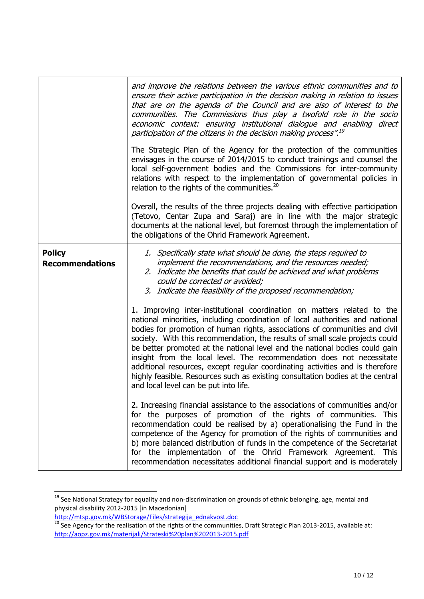|                                         | and improve the relations between the various ethnic communities and to<br>ensure their active participation in the decision making in relation to issues<br>that are on the agenda of the Council and are also of interest to the<br>communities. The Commissions thus play a twofold role in the socio<br>economic context: ensuring institutional dialogue and enabling direct<br>participation of the citizens in the decision making process". <sup>19</sup>                                                                                                                                                                                                                           |
|-----------------------------------------|---------------------------------------------------------------------------------------------------------------------------------------------------------------------------------------------------------------------------------------------------------------------------------------------------------------------------------------------------------------------------------------------------------------------------------------------------------------------------------------------------------------------------------------------------------------------------------------------------------------------------------------------------------------------------------------------|
|                                         | The Strategic Plan of the Agency for the protection of the communities<br>envisages in the course of 2014/2015 to conduct trainings and counsel the<br>local self-government bodies and the Commissions for inter-community<br>relations with respect to the implementation of governmental policies in<br>relation to the rights of the communities. <sup>20</sup>                                                                                                                                                                                                                                                                                                                         |
|                                         | Overall, the results of the three projects dealing with effective participation<br>(Tetovo, Centar Zupa and Saraj) are in line with the major strategic<br>documents at the national level, but foremost through the implementation of<br>the obligations of the Ohrid Framework Agreement.                                                                                                                                                                                                                                                                                                                                                                                                 |
| <b>Policy</b><br><b>Recommendations</b> | 1. Specifically state what should be done, the steps required to<br>implement the recommendations, and the resources needed;<br>2. Indicate the benefits that could be achieved and what problems<br>could be corrected or avoided;<br>3. Indicate the feasibility of the proposed recommendation;                                                                                                                                                                                                                                                                                                                                                                                          |
|                                         | 1. Improving inter-institutional coordination on matters related to the<br>national minorities, including coordination of local authorities and national<br>bodies for promotion of human rights, associations of communities and civil<br>society. With this recommendation, the results of small scale projects could<br>be better promoted at the national level and the national bodies could gain<br>insight from the local level. The recommendation does not necessitate<br>additional resources, except regular coordinating activities and is therefore<br>highly feasible. Resources such as existing consultation bodies at the central<br>and local level can be put into life. |
|                                         | 2. Increasing financial assistance to the associations of communities and/or<br>for the purposes of promotion of the rights of communities. This<br>recommendation could be realised by a) operationalising the Fund in the<br>competence of the Agency for promotion of the rights of communities and<br>b) more balanced distribution of funds in the competence of the Secretariat<br>for the implementation of the Ohrid Framework Agreement. This<br>recommendation necessitates additional financial support and is moderately                                                                                                                                                        |

<sup>&</sup>lt;sup>19</sup> See National Strategy for equality and non-discrimination on grounds of ethnic belonging, age, mental and physical disability 2012-2015 [in Macedonian]

 $\overline{\phantom{a}}$ 

[http://mtsp.gov.mk/WBStorage/Files/strategija\\_ednakvost.doc](http://mtsp.gov.mk/WBStorage/Files/strategija_ednakvost.doc)

 $^{20}$  See Agency for the realisation of the rights of the communities, Draft Strategic Plan 2013-2015, available at: <http://aopz.gov.mk/materijali/Strateski%20plan%202013-2015.pdf>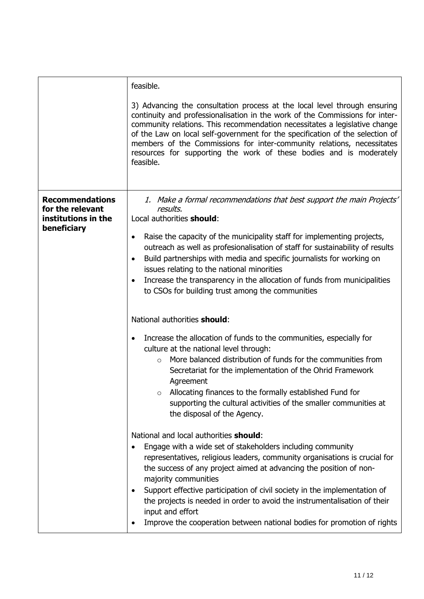| feasible.                                                                                                                                                                                                                                                                                                                                                                                                                                                                                                                                                   |
|-------------------------------------------------------------------------------------------------------------------------------------------------------------------------------------------------------------------------------------------------------------------------------------------------------------------------------------------------------------------------------------------------------------------------------------------------------------------------------------------------------------------------------------------------------------|
| 3) Advancing the consultation process at the local level through ensuring<br>continuity and professionalisation in the work of the Commissions for inter-<br>community relations. This recommendation necessitates a legislative change<br>of the Law on local self-government for the specification of the selection of<br>members of the Commissions for inter-community relations, necessitates<br>resources for supporting the work of these bodies and is moderately<br>feasible.                                                                      |
| 1. Make a formal recommendations that best support the main Projects'<br>results,<br>Local authorities should:                                                                                                                                                                                                                                                                                                                                                                                                                                              |
| Raise the capacity of the municipality staff for implementing projects,<br>$\bullet$<br>outreach as well as profesionalisation of staff for sustainability of results<br>Build partnerships with media and specific journalists for working on<br>٠<br>issues relating to the national minorities<br>Increase the transparency in the allocation of funds from municipalities<br>٠<br>to CSOs for building trust among the communities                                                                                                                      |
| National authorities should:                                                                                                                                                                                                                                                                                                                                                                                                                                                                                                                                |
| Increase the allocation of funds to the communities, especially for<br>$\bullet$<br>culture at the national level through:<br>More balanced distribution of funds for the communities from<br>$\circ$<br>Secretariat for the implementation of the Ohrid Framework<br>Agreement<br>Allocating finances to the formally established Fund for<br>$\circ$<br>supporting the cultural activities of the smaller communities at<br>the disposal of the Agency.                                                                                                   |
| National and local authorities should:<br>Engage with a wide set of stakeholders including community<br>$\bullet$<br>representatives, religious leaders, community organisations is crucial for<br>the success of any project aimed at advancing the position of non-<br>majority communities<br>Support effective participation of civil society in the implementation of<br>٠<br>the projects is needed in order to avoid the instrumentalisation of their<br>input and effort<br>Improve the cooperation between national bodies for promotion of rights |
|                                                                                                                                                                                                                                                                                                                                                                                                                                                                                                                                                             |